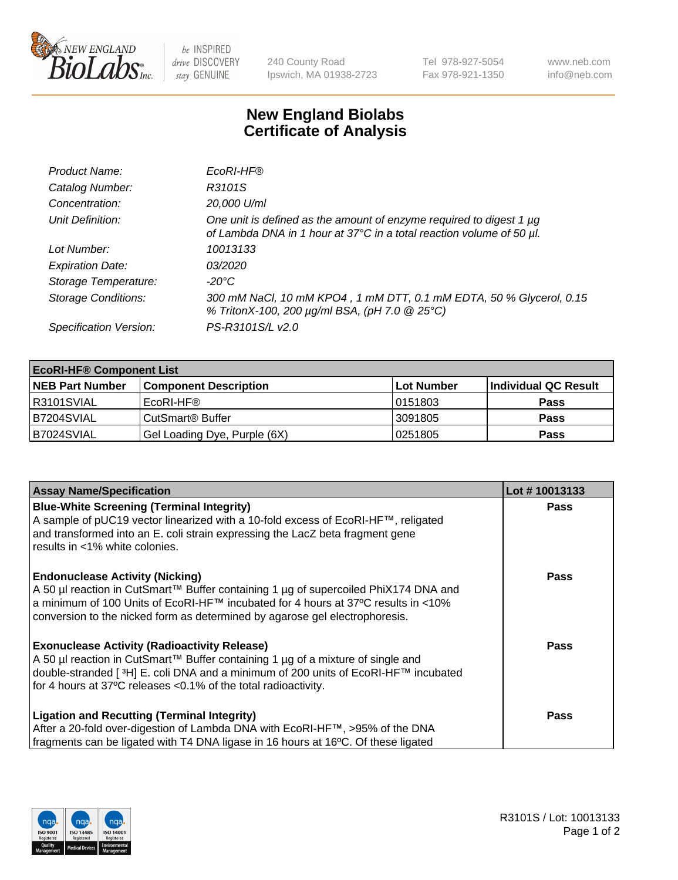

 $be$  INSPIRED drive DISCOVERY stay GENUINE

240 County Road Ipswich, MA 01938-2723 Tel 978-927-5054 Fax 978-921-1350 www.neb.com info@neb.com

## **New England Biolabs Certificate of Analysis**

| Product Name:              | EcoRI-HF®                                                                                                                                   |
|----------------------------|---------------------------------------------------------------------------------------------------------------------------------------------|
| Catalog Number:            | R3101S                                                                                                                                      |
| Concentration:             | 20,000 U/ml                                                                                                                                 |
| Unit Definition:           | One unit is defined as the amount of enzyme required to digest 1 µg<br>of Lambda DNA in 1 hour at 37°C in a total reaction volume of 50 µl. |
| Lot Number:                | 10013133                                                                                                                                    |
| <b>Expiration Date:</b>    | 03/2020                                                                                                                                     |
| Storage Temperature:       | -20°C                                                                                                                                       |
| <b>Storage Conditions:</b> | 300 mM NaCl, 10 mM KPO4, 1 mM DTT, 0.1 mM EDTA, 50 % Glycerol, 0.15<br>% TritonX-100, 200 µg/ml BSA, (pH 7.0 @ 25°C)                        |
| Specification Version:     | PS-R3101S/L v2.0                                                                                                                            |

| <b>EcoRI-HF® Component List</b> |                              |                   |                      |  |  |
|---------------------------------|------------------------------|-------------------|----------------------|--|--|
| <b>NEB Part Number</b>          | <b>Component Description</b> | <b>Lot Number</b> | Individual QC Result |  |  |
| IR3101SVIAL                     | EcoRI-HF®                    | 10151803          | <b>Pass</b>          |  |  |
| IB7204SVIAL                     | CutSmart <sup>®</sup> Buffer | 3091805           | <b>Pass</b>          |  |  |
| B7024SVIAL                      | Gel Loading Dye, Purple (6X) | 10251805          | <b>Pass</b>          |  |  |

| <b>Assay Name/Specification</b>                                                                                                                                                                                                                           | Lot #10013133 |
|-----------------------------------------------------------------------------------------------------------------------------------------------------------------------------------------------------------------------------------------------------------|---------------|
| <b>Blue-White Screening (Terminal Integrity)</b><br>A sample of pUC19 vector linearized with a 10-fold excess of EcoRI-HF™, religated                                                                                                                     | <b>Pass</b>   |
| and transformed into an E. coli strain expressing the LacZ beta fragment gene<br>results in <1% white colonies.                                                                                                                                           |               |
| <b>Endonuclease Activity (Nicking)</b>                                                                                                                                                                                                                    | <b>Pass</b>   |
| A 50 µl reaction in CutSmart™ Buffer containing 1 µg of supercoiled PhiX174 DNA and<br>  a minimum of 100 Units of EcoRI-HF™ incubated for 4 hours at 37°C results in <10%<br>conversion to the nicked form as determined by agarose gel electrophoresis. |               |
| <b>Exonuclease Activity (Radioactivity Release)</b>                                                                                                                                                                                                       | Pass          |
| A 50 µl reaction in CutSmart™ Buffer containing 1 µg of a mixture of single and<br>double-stranded [ <sup>3</sup> H] E. coli DNA and a minimum of 200 units of EcoRI-HF™ incubated                                                                        |               |
| for 4 hours at 37°C releases <0.1% of the total radioactivity.                                                                                                                                                                                            |               |
| <b>Ligation and Recutting (Terminal Integrity)</b>                                                                                                                                                                                                        | <b>Pass</b>   |
| After a 20-fold over-digestion of Lambda DNA with EcoRI-HF™, >95% of the DNA                                                                                                                                                                              |               |
| fragments can be ligated with T4 DNA ligase in 16 hours at 16°C. Of these ligated                                                                                                                                                                         |               |